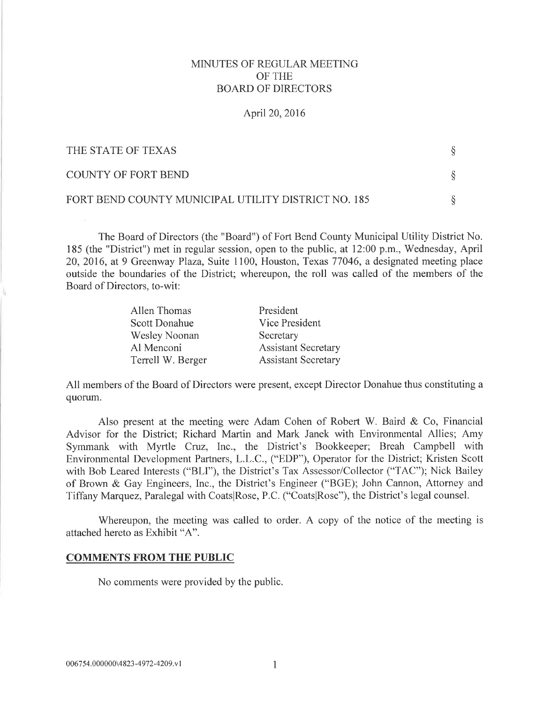# MINUTES OF REGULAR MEETING OF THE BOARD OF DIRECTORS

#### April20,2016

| THE STATE OF TEXAS                                  |  |
|-----------------------------------------------------|--|
| COUNTY OF FORT BEND                                 |  |
| FORT BEND COUNTY MUNICIPAL UTILITY DISTRICT NO. 185 |  |

The Board of Directors (the "Board") of Fort Bend County Municipal Utility District No. 185 (the "District") met in regular session, open to the public, at 12:00 p.m., Wednesday, April 20,2016, at 9 Greenway Plaza, Suite 1100, Houston, Texas 77046, a designated meeting place outside the boundaries of the District; whereupon, the roll was called of the members of the Board of Directors, to-wit:

| Allen Thomas         | President                  |
|----------------------|----------------------------|
| <b>Scott Donahue</b> | Vice President             |
| Wesley Noonan        | Secretary                  |
| Al Menconi           | <b>Assistant Secretary</b> |
| Terrell W. Berger    | <b>Assistant Secretary</b> |

All members of the Board of Directors were present, except Director Donahue thus constituting a quorum.

Also present at the meeting were Adam Cohen of Robert W. Baird  $\&$  Co, Financial Advisor for the District; Richard Martin and Mark Janek with Environmental Allies; Amy Symmank with Myrtle Cruz, Inc., the District's Bookkeeper; Breah Campbell with Environmental Development Partners, L.L.C., ("EDP"), Operator for the District; Kristen Scott with Bob Leared Interests ("BLI"), the District's Tax Assessor/Collector ("TAC"); Nick Bailey of Brown & Gay Engineers, Inc., the District's Engineer ("BGE); John Cannon, Attorney and Tiffany Marquez, Paralegal with CoatslRose, P.C. ("CoatslRose"), the District's legal counsel.

Whereupon, the meeting was called to order. A copy of the notice of the meeting is attached hereto as Exhibit "A".

#### COMMENTS FROM THE PUBLIC

No comments were provided by the public.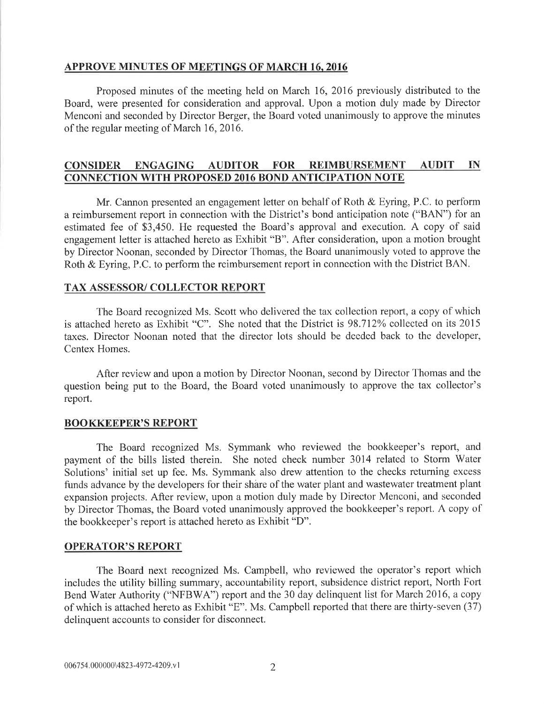#### APPROVE MINUTES OF MEETINGS OF MARCH 16.2016

Proposed minutes of the meeting held on March 16,2016 previously distributed to the Board, were presented for consideration and approval. Upon a motion duly made by Director Menconi and seconded by Director Berger, the Board voted unanimously to approve the minutes of the regular meeting of March 16,2016.

# CONSIDER ENGAGING AUDITOR FOR REIMBIIRSEMENT AIIDIT IN CONNECTION WITH PROPOSED 2016 BOND ANTICIPATION NOTE

Mr. Cannon presented an engagement letter on behalf of Roth & Eyring, P.C. to perform a reimbursement report in connection with the District's bond anticipation note ("BAN") for an estimated fee of \$3,450. He requested the Board's approval and execution. A copy of said engagement letter is attached hereto as Exhibit "B". After consideration, upon a motion brought by Director Noonan, seconded by Director Thomas, the Board unanimously voted to approve the Roth & Eyring, P.C. to perform the reimbursement report in connection with the District BAN.

# TAX ASSESSOR/ COLLECTOR REPORT

The Board recognized Ms. Scott who delivered the tax collection report, a copy of which is attached hereto as Exhibit "C". She noted that the District is 98.712% collected on its 2015 taxes. Director Noonan noted that the director lots should be deeded back to the developer, Centex Homes.

After review and upon a motion by Director Noonan, second by Director Thomas and the question being put to the Board, the Board voted unanimously to approve the tax collector's report.

# BOOKKEEPER'S REPORT

The Board recognized Ms. Symmank who reviewed the bookkeeper's report, and payment of the bills listed therein. She noted check number 3014 related to Storm Water Solutions' initial set up fee. Ms. Symmank also drew attention to the checks returning excess funds advance by the developers for their shâre of the water plant and wastewater treatment plant expansion projects. After review, upon a motion duly made by Director Menconi, and seconded by Director Thomas, the Board voted unanimously approved the bookkeeper's report. A copy of the bookkeeper's report is attached hereto as Exhibit "D".

# OPERATOR'S REPORT

The Board next recognized Ms. Campbell, who reviewed the operator's report which includes the utility billing summary, accountability report, subsidence district report, North Fort Bend Water Authority ("NFBWA") report and the 30 day delinquent list for March 2016, a copy of which is attached hereto as Exhibit "E". Ms. Campbell reported that there are thirty-seven (37) delinquent accounts to consider for disconnect.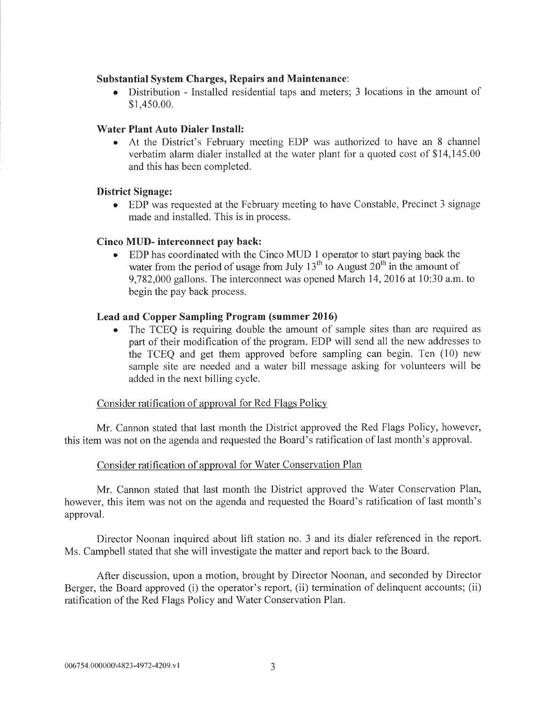# Substantial System Charges, Repairs and Maintenance:

o Distribution - Installed residential taps and meters; 3 locations in the amount of \$1,450.00.

## Water Plant Auto Dialer Install:

At the District's February meeting EDP was authorized to have an 8 channel verbatim alarm dialer installed at the water plant for a quoted cost of \$14,145.00 and this has been completed.

## District Signage:

o EDP was requested at the February meeting to have Constable, Precinct 3 signage made and installed. This is in process.

## Cinco MUD- interconnect pay back:

. EDP has coordinated with the Cinco MUD I operator to start paying back the water from the period of usage from July  $13<sup>th</sup>$  to August  $20<sup>th</sup>$  in the amount of 9,782,000 gallons. The interconnect was opened March 14,2016 at l0:30 a.m. to begin the pay back process.

## Lead and Copper Sampling Program (summer 2016)

The TCEQ is requiring double the amount of sample sites than are required as part of their modification of the program. EDP will send all the new addresses to the TCEQ and get them approved before sampling can begin. Ten (10) new sample site are needed and a water bill message asking for volunteers will be added in the next billing cycle.

#### Consider ratification of approval for Red Flags Policy

Mr. Cannon stated that last month the District approved the Red Flags Policy, however, this item was not on the agenda and requested the Board's ratification of last month's approval.

# Consider ratification of approval for Water Conservation Plan

Mr. Cannon stated that last month the District approved the Water Conservation Plan, however, this item was not on the agenda and requested the Board's ratification of last month's approval.

Director Noonan inquired about lift station no. 3 and its dialer referenced in the report. Ms. Campbell stated that she will investigate the matter and report back to the Board.

After discussion, upon a motion, brought by Director Noonan, and seconded by Director Berger, the Board approved (i) the operator's report, (ii) termination of delinquent accounts; (ii) ratification of the Red Flags Policy and Water Conservation Plan.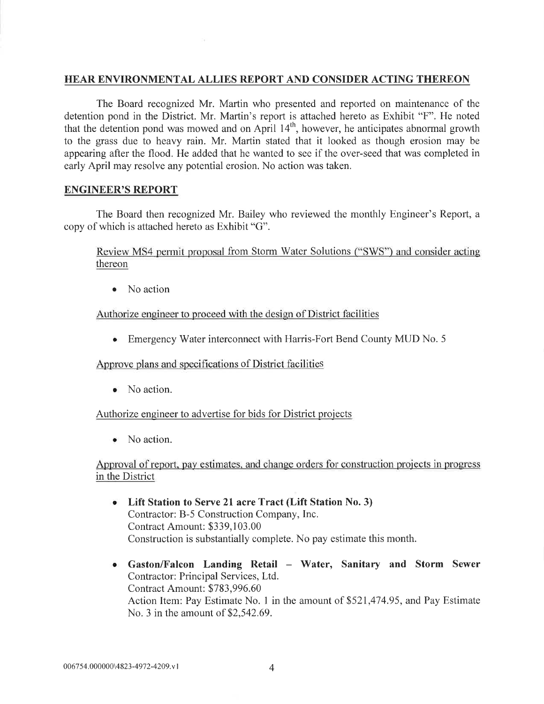# HEAR ENVIRONMENTAL ALLIES REPORT AND CONSIDER ACTING THEREON

The Board recognized Mr. Martin who presented and reported on maintenance of the detention pond in the District. Mr. Martin's report is attached hereto as Exhibit "F". He noted that the detention pond was mowed and on April  $14<sup>th</sup>$ , however, he anticipates abnormal growth to the grass due to heavy rain. Mr. Martin stated that it looked as though erosion may be appearing after the flood. He added that he wanted to see if the over-seed that was completed in early April may resolve any potential erosion. No action was taken.

## ENGINEER'S REPORT

The Board then recognized Mr. Bailey who reviewed the monthly Engineer's Report, a copy of which is attached hereto as Exhibit "G".

Review MS4 permit proposal from Storm Water Solutions ("SWS") and consider acting thereon

• No action

Authorize engineer to proceed with the design of District facilities

o Emergency Water interconnect with Harris-Fort Bend County MUD No. <sup>5</sup>

Approve plans and specifications of District facilities

• No action.

Authorize engineer to advertise for bids for District proiects

• No action.

Approval of report, pay estimates, and change orders for construction projects in progress in the District

- <sup>o</sup> Lift Station to Serve 2l acre Tract (Lift Station No. 3) Contractor: B-5 Construction Company, Inc. Contract Amount: \$339,103.00 Construction is substantially complete. No pay estimate this month.
- Gaston/Falcon Landing Retail Water, Sanitary and Storm Sewer Contractor: Principal Services, Ltd. Contract Amount: \$783,996.60 Action ltem: Pay Estimate No. I in the amount of \$521,474.95, and Pay Estimate No. 3 in the amount of \$2,542.69.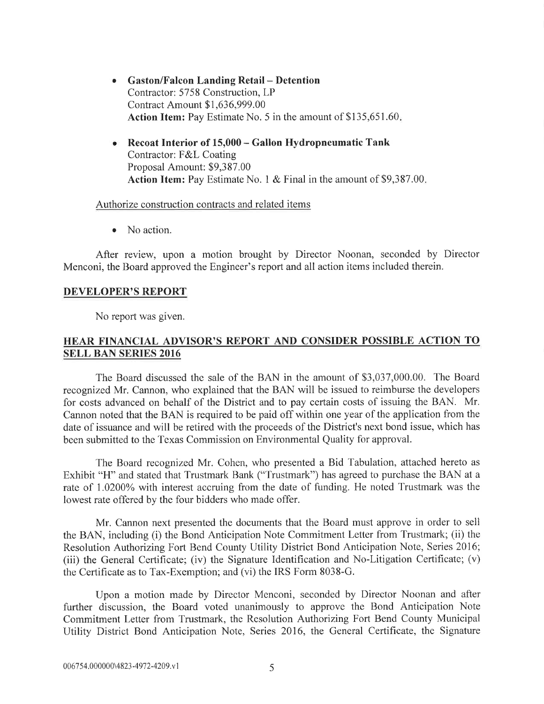- Gaston/Falcon Landing Retail Detention Contractor: 5758 Construction, LP Contract Amount \$1,636,999.00 Action Item: Pay Estimate No. 5 in the amount of \$135,651.60.
- Recoat Interior of  $15,000$  Gallon Hydropneumatic Tank Contractor: F&L Coating Proposal Amount: \$9,387.00 Action Item: Pay Estimate No. 1 & Final in the amount of \$9,387.00.

#### Authorize construction contracts and related items

• No action.

After review, upon a motion brought by Director Noonan, seconded by Director Menconi, the Board approved the Engineer's report and all action items included therein.

## DEVELOPER'S REPORT

No report was given.

# HEAR FINANCIAL ADVISOR'S REPORT AND CONSIDER POSSIBLE ACTION TO SELL BAN SERIES 2016

The Board discussed the sale of the BAN in the amount of \$3,037,000.00. The Board recognized Mr. Cannon, who explained that the BAN will be issued to reimburse the developers for costs advanced on behalf of the District and to pay certain costs of issuing the BAN. Mr. Cannon noted that the BAN is required to be paid off within one year of the application from the date of issuance and will be retired with the proceeds of the District's next bond issue, which has been submitted to the Texas Commission on Environmental Quality for approval.

The Board recognized Mr. Cohen, who presented a Bid Tabulation, attached hereto as Exhibit "H" and stated that Trustmark Bank ("Trustmark") has agreed to purchase the BAN at <sup>a</sup> rate of 1.0200% with interest accruing from the date of funding. He noted Trustmark was the lowest rate offered bv the four bidders who made offer.

Mr. Cannon next presented the documents that the Board must approve in order to sell the BAN, including (i) the Bond Anticipation Note Commitment Letter from Trustmark; (ii) the Resolution Authorizing Fort Bend County Utility District Bond Anticipation Note, Series 2016; (iii) the General Certificate; (iv) the Signature Identification and No-Litigation Certificate; (v) the Certificate as to Tax-Exemption; and (vi) the IRS Form 8038-G.

Upon a motion made by Director Menconi, seconded by Director Noonan and after further discussion, the Board voted unanimously to approve the Bond Anticipation Note Commitment Letter from Trustmark, the Resolution Authorizing Fort Bend County Municipal Utility District Bond Anticipation Note, Series 2076, the General Certificate, the Signature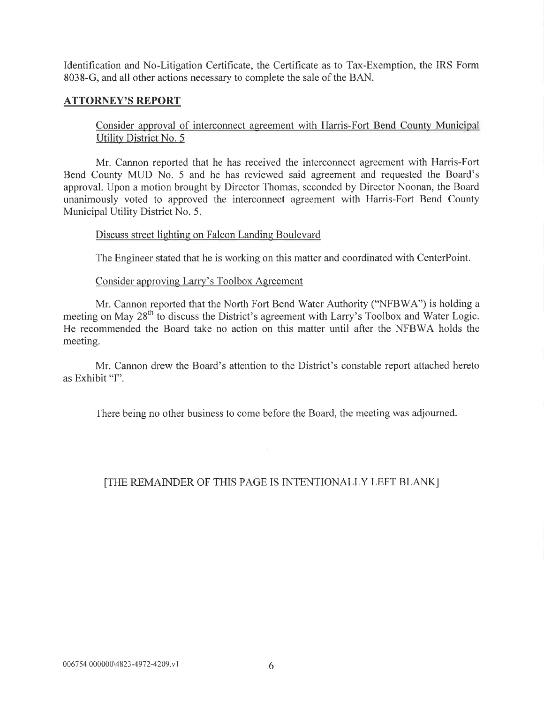Identification and No-Litigation Certificate, the Certificate as to Tax-Exemption, the IRS Form 8038-G, and all other actions necessary to complete the sale of the BAN.

# ATTORNEY'S REPORT

Consider approval of interconnect agreement with Harris-Fort Bend County Municipal Utility District No. 5

Mr. Cannon reported that he has received the interconnect agreement with Harris-Fort Bend County MUD No, 5 and he has reviewed said agreement and requested the Board's approval. Upon a motion brought by Director Thomas, seconded by Director Noonan, the Board unanimously voted to approved the interconnect agreement with Harris-Fort Bend County Municipal Utility District No. 5.

## Discuss street lighting on Falcon Landing Boulevard

The Engineer stated that he is working on this matter and coordinated with CenterPoint.

## Consider approving Larry's Toolbox Agreement

Mr. Cannon reported that the North Fort Bend Water Authority ("NFBWA") is holding a meeting on May 28<sup>th</sup> to discuss the District's agreement with Larry's Toolbox and Water Logic. He recommended the Board take no action on this matter until after the NFBWA holds the meeting.

Mr. Cannon drew the Board's attention to the District's constable report attached hereto as Exhibit "I".

There being no other business to come before the Board, the meeting was adjourned.

# [THE REMAINDER OF THIS PAGE IS INTENTIONALLY LEFT BLANK]